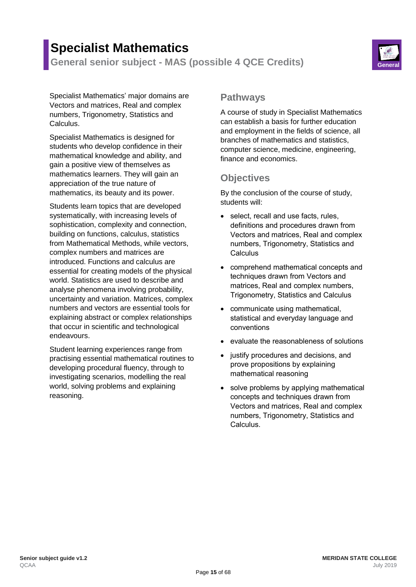# **Specialist Mathematics**

**General senior subject - MAS (possible 4 QCE Credits) General**



Specialist Mathematics' major domains are Vectors and matrices, Real and complex numbers, Trigonometry, Statistics and Calculus.

Specialist Mathematics is designed for students who develop confidence in their mathematical knowledge and ability, and gain a positive view of themselves as mathematics learners. They will gain an appreciation of the true nature of mathematics, its beauty and its power.

Students learn topics that are developed systematically, with increasing levels of sophistication, complexity and connection, building on functions, calculus, statistics from Mathematical Methods, while vectors, complex numbers and matrices are introduced. Functions and calculus are essential for creating models of the physical world. Statistics are used to describe and analyse phenomena involving probability, uncertainty and variation. Matrices, complex numbers and vectors are essential tools for explaining abstract or complex relationships that occur in scientific and technological endeavours.

Student learning experiences range from practising essential mathematical routines to developing procedural fluency, through to investigating scenarios, modelling the real world, solving problems and explaining reasoning.

### **Pathways**

A course of study in Specialist Mathematics can establish a basis for further education and employment in the fields of science, all branches of mathematics and statistics, computer science, medicine, engineering, finance and economics.

# **Objectives**

By the conclusion of the course of study, students will:

- select, recall and use facts, rules, definitions and procedures drawn from Vectors and matrices, Real and complex numbers, Trigonometry, Statistics and **Calculus**
- comprehend mathematical concepts and techniques drawn from Vectors and matrices, Real and complex numbers, Trigonometry, Statistics and Calculus
- communicate using mathematical, statistical and everyday language and conventions
- evaluate the reasonableness of solutions
- justify procedures and decisions, and prove propositions by explaining mathematical reasoning
- solve problems by applying mathematical concepts and techniques drawn from Vectors and matrices, Real and complex numbers, Trigonometry, Statistics and Calculus.